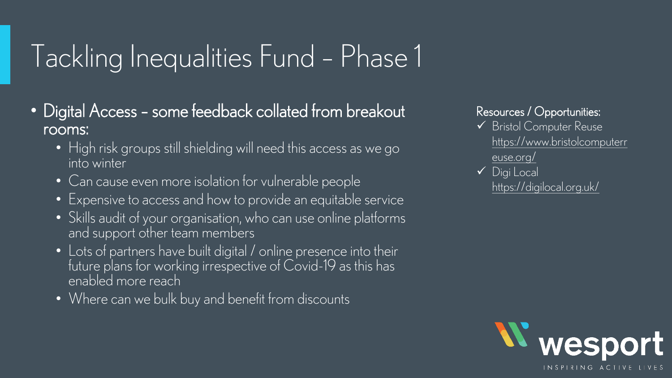## Tackling Inequalities Fund – Phase 1

- Digital Access some feedback collated from breakout rooms:
	- High risk groups still shielding will need this access as we go into winter
	- Can cause even more isolation for vulnerable people
	- Expensive to access and how to provide an equitable service
	- Skills audit of your organisation, who can use online platforms and support other team members
	- Lots of partners have built digital / online presence into their future plans for working irrespective of Covid-19 as this has enabled more reach
	- Where can we bulk buy and benefit from discounts

#### Resources / Opportunities:

- ✓ Bristol Computer Reuse [https://www.bristolcomputerr](https://www.bristolcomputerreuse.org/) euse.org/
- ✓ Digi Local <https://digilocal.org.uk/>

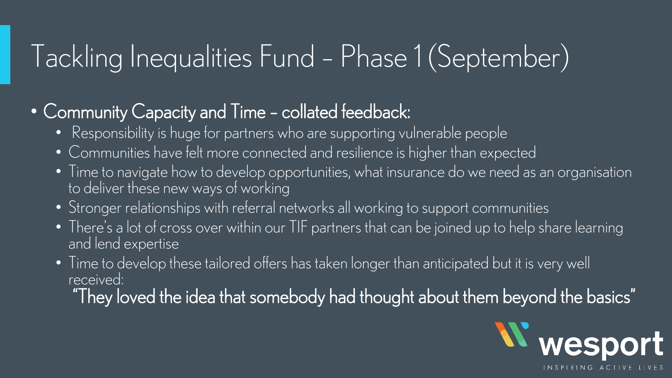#### Tackling Inequalities Fund – Phase 1 (September)

#### • Community Capacity and Time - collated feedback:

- Responsibility is huge for partners who are supporting vulnerable people
- Communities have felt more connected and resilience is higher than expected
- Time to navigate how to develop opportunities, what insurance do we need as an organisation to deliver these new ways of working
- Stronger relationships with referral networks all working to support communities
- There's a lot of cross over within our TIF partners that can be joined up to help share learning and lend expertise
- Time to develop these tailored offers has taken longer than anticipated but it is very well received:

"They loved the idea that somebody had thought about them beyond the basics"

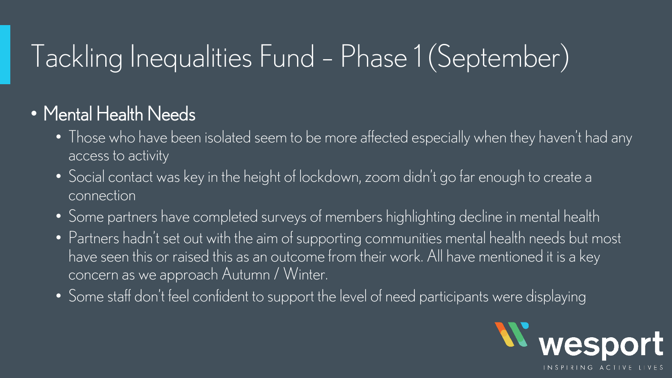## Tackling Inequalities Fund – Phase 1 (September)

#### • Mental Health Needs

- Those who have been isolated seem to be more affected especially when they haven't had any access to activity
- Social contact was key in the height of lockdown, zoom didn't go far enough to create a connection
- Some partners have completed surveys of members highlighting decline in mental health
- Partners hadn't set out with the aim of supporting communities mental health needs but most have seen this or raised this as an outcome from their work. All have mentioned it is a key concern as we approach Autumn / Winter.
- Some staff don't feel confident to support the level of need participants were displaying

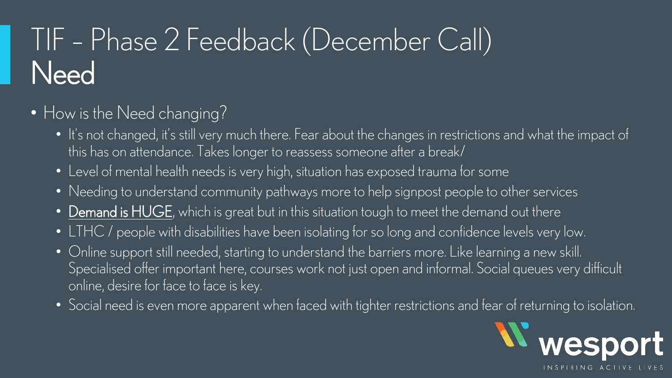# TIF – Phase 2 Feedback (December Call) **Need**

- How is the Need changing?
	- It's not changed, it's still very much there. Fear about the changes in restrictions and what the impact of this has on attendance. Takes longer to reassess someone after a break/
	- Level of mental health needs is very high, situation has exposed trauma for some
	- Needing to understand community pathways more to help signpost people to other services
	- Demand is HUGE, which is great but in this situation tough to meet the demand out there
	- LTHC / people with disabilities have been isolating for so long and confidence levels very low.
	- Online support still needed, starting to understand the barriers more. Like learning a new skill. Specialised offer important here, courses work not just open and informal. Social queues very difficult online, desire for face to face is key.
	- Social need is even more apparent when faced with tighter restrictions and fear of returning to isolation.

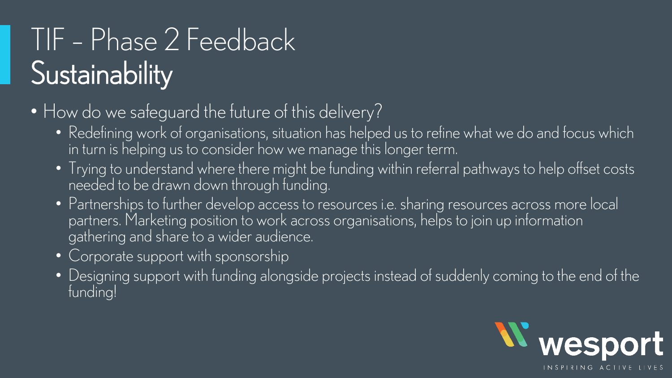## TIF – Phase 2 Feedback **Sustainability**

- How do we safeguard the future of this delivery?
	- Redefining work of organisations, situation has helped us to refine what we do and focus which in turn is helping us to consider how we manage this longer term.
	- Trying to understand where there might be funding within referral pathways to help offset costs needed to be drawn down through funding.
	- Partnerships to further develop access to resources i.e. sharing resources across more local partners. Marketing position to work across organisations, helps to join up information gathering and share to a wider audience.
	- Corporate support with sponsorship
	- Designing support with funding alongside projects instead of suddenly coming to the end of the funding!